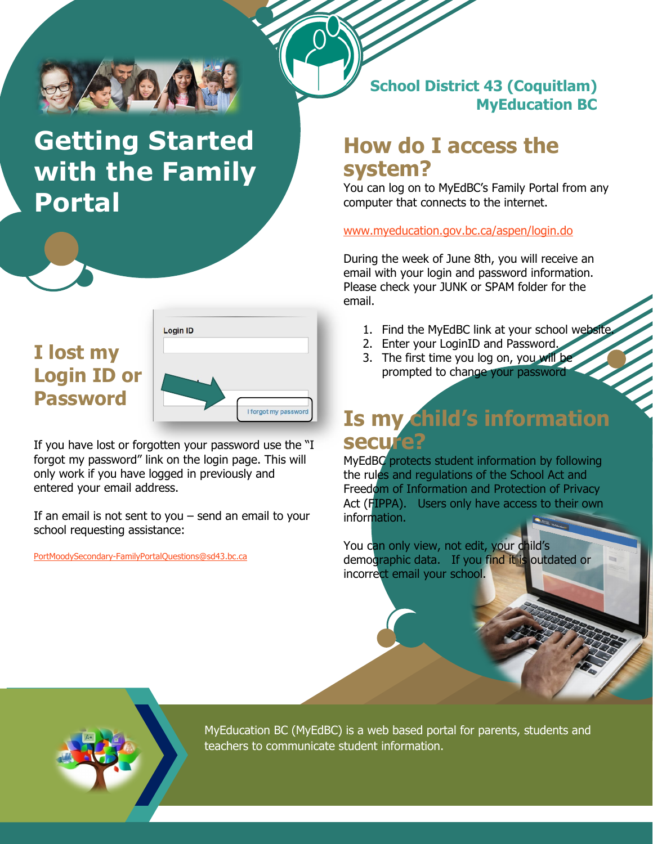

# **Getting Started with the Family Portal**

### **I lost my Login ID or Password**



If you have lost or forgotten your password use the "I forgot my password" link on the login page. This will only work if you have logged in previously and entered your email address.

If an email is not sent to you  $-$  send an email to your school requesting assistance:

[PortMoodySecondary-FamilyPortalQuestions@sd43.bc.ca](mailto:PortMoodySecondary-FamilyPortalQuestions@sd43.bc.ca)

#### **School District 43 (Coquitlam) MyEducation BC**

## **How do I access the system?**

You can log on to MyEdBC's Family Portal from any computer that connects to the internet.

#### www.myeducation.gov.bc.ca/aspen/login.do

During the week of June 8th, you will receive an email with your login and password information. Please check your JUNK or SPAM folder for the email.

- 1. Find the MyEdBC link at your school website
- 2. Enter your LoginID and Password.
- 3. The first time you log on, you will be prompted to change your password

# **Is my child's information secure?**

MyEdBC protects student information by following the rules and regulations of the School Act and Freedom of Information and Protection of Privacy Act (FIPPA). Users only have access to their own information.

You can only view, not edit, your child's demographic data. If you find it is outdated or incorrect email your school.



MyEducation BC (MyEdBC) is a web based portal for parents, students and teachers to communicate student information.